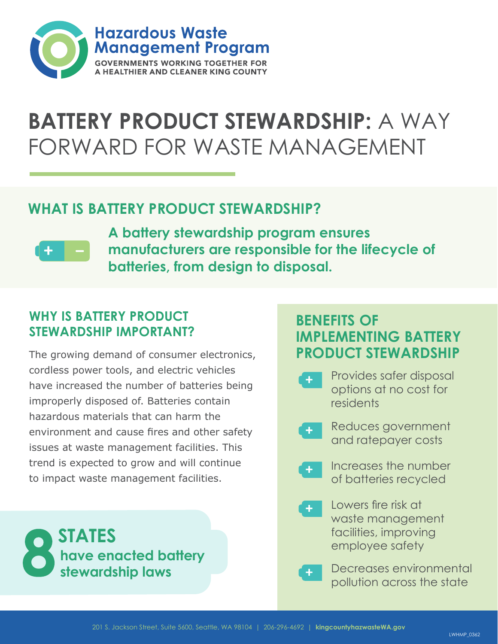

## **BATTERY PRODUCT STEWARDSHIP: A WAY** FORWARD FOR WASTE MANAGEMENT

### **WHAT IS BATTERY PRODUCT STEWARDSHIP?**



**A battery stewardship program ensures manufacturers are responsible for the lifecycle of batteries, from design to disposal.**

### **WHY IS BATTERY PRODUCT STEWARDSHIP IMPORTANT?**

The growing demand of consumer electronics, cordless power tools, and electric vehicles have increased the number of batteries being improperly disposed of. Batteries contain hazardous materials that can harm the environment and cause fires and other safety issues at waste management facilities. This trend is expected to grow and will continue to impact waste management facilities.



### **BENEFITS OF IMPLEMENTING BATTERY PRODUCT STEWARDSHIP**

- Provides safer disposal options at no cost for residents
- Reduces government and ratepayer costs
	- Increases the number of batteries recycled
- Lowers fire risk at waste management facilities, improving employee safety
	- Decreases environmental pollution across the state